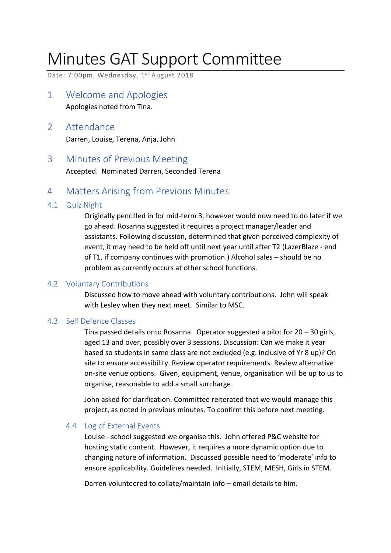## Minutes GAT Support Committee

Date: 7:00pm, Wednesday, 1<sup>st</sup> August 2018

- 1 Welcome and Apologies Apologies noted from Tina.
- 2 Attendance Darren, Louise, Terena, Anja, John
- 3 Minutes of Previous Meeting Accepted. Nominated Darren, Seconded Terena
- 4 Matters Arising from Previous Minutes

#### 4.1 Quiz Night

Originally pencilled in for mid-term 3, however would now need to do later if we go ahead. Rosanna suggested it requires a project manager/leader and assistants. Following discussion, determined that given perceived complexity of event, it may need to be held off until next year until after T2 (LazerBlaze - end of T1, if company continues with promotion.) Alcohol sales – should be no problem as currently occurs at other school functions.

#### 4.2 Voluntary Contributions

Discussed how to move ahead with voluntary contributions. John will speak with Lesley when they next meet. Similar to MSC.

#### 4.3 Self Defence Classes

Tina passed details onto Rosanna. Operator suggested a pilot for 20 – 30 girls, aged 13 and over, possibly over 3 sessions. Discussion: Can we make it year based so students in same class are not excluded (e.g. inclusive of Yr 8 up)? On site to ensure accessibility. Review operator requirements. Review alternative on-site venue options. Given, equipment, venue, organisation will be up to us to organise, reasonable to add a small surcharge.

John asked for clarification. Committee reiterated that we would manage this project, as noted in previous minutes. To confirm this before next meeting.

#### 4.4 Log of External Events

Louise - school suggested we organise this. John offered P&C website for hosting static content. However, it requires a more dynamic option due to changing nature of information. Discussed possible need to 'moderate' info to ensure applicability. Guidelines needed. Initially, STEM, MESH, Girls in STEM.

Darren volunteered to collate/maintain info – email details to him.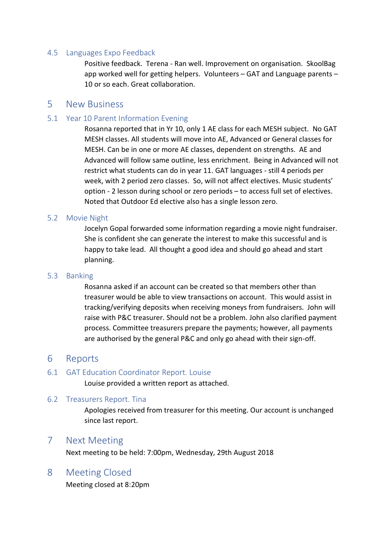#### 4.5 Languages Expo Feedback

Positive feedback. Terena - Ran well. Improvement on organisation. SkoolBag app worked well for getting helpers. Volunteers – GAT and Language parents – 10 or so each. Great collaboration.

#### 5 New Business

#### 5.1 Year 10 Parent Information Evening

Rosanna reported that in Yr 10, only 1 AE class for each MESH subject. No GAT MESH classes. All students will move into AE, Advanced or General classes for MESH. Can be in one or more AE classes, dependent on strengths. AE and Advanced will follow same outline, less enrichment. Being in Advanced will not restrict what students can do in year 11. GAT languages - still 4 periods per week, with 2 period zero classes. So, will not affect electives. Music students' option - 2 lesson during school or zero periods – to access full set of electives. Noted that Outdoor Ed elective also has a single lesson zero.

#### 5.2 Movie Night

Jocelyn Gopal forwarded some information regarding a movie night fundraiser. She is confident she can generate the interest to make this successful and is happy to take lead. All thought a good idea and should go ahead and start planning.

#### 5.3 Banking

Rosanna asked if an account can be created so that members other than treasurer would be able to view transactions on account. This would assist in tracking/verifying deposits when receiving moneys from fundraisers. John will raise with P&C treasurer. Should not be a problem. John also clarified payment process. Committee treasurers prepare the payments; however, all payments are authorised by the general P&C and only go ahead with their sign-off.

#### 6 Reports

#### 6.1 GAT Education Coordinator Report. Louise

Louise provided a written report as attached.

#### 6.2 Treasurers Report. Tina

Apologies received from treasurer for this meeting. Our account is unchanged since last report.

#### 7 Next Meeting

Next meeting to be held: 7:00pm, Wednesday, 29th August 2018

#### 8 Meeting Closed

Meeting closed at 8:20pm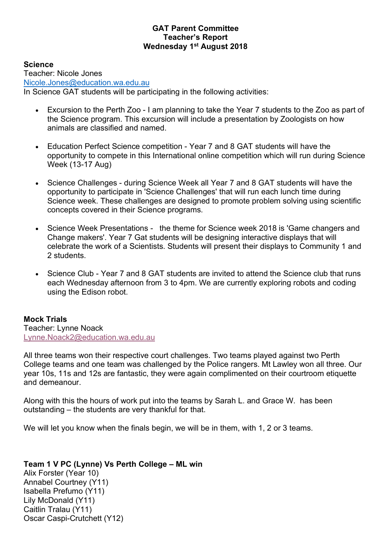#### **GAT Parent Committee Teacher's Report Wednesday 1st August 2018**

**Science** 

Teacher: Nicole Jones Nicole.Jones@education.wa.edu.au In Science GAT students will be participating in the following activities:

- Excursion to the Perth Zoo I am planning to take the Year 7 students to the Zoo as part of the Science program. This excursion will include a presentation by Zoologists on how animals are classified and named.
- Education Perfect Science competition Year 7 and 8 GAT students will have the opportunity to compete in this International online competition which will run during Science Week (13-17 Aug)
- Science Challenges during Science Week all Year 7 and 8 GAT students will have the opportunity to participate in 'Science Challenges' that will run each lunch time during Science week. These challenges are designed to promote problem solving using scientific concepts covered in their Science programs.
- Science Week Presentations the theme for Science week 2018 is 'Game changers and Change makers'. Year 7 Gat students will be designing interactive displays that will celebrate the work of a Scientists. Students will present their displays to Community 1 and 2 students.
- Science Club Year 7 and 8 GAT students are invited to attend the Science club that runs each Wednesday afternoon from 3 to 4pm. We are currently exploring robots and coding using the Edison robot.

**Mock Trials**  Teacher: Lynne Noack Lynne.Noack2@education.wa.edu.au

All three teams won their respective court challenges. Two teams played against two Perth College teams and one team was challenged by the Police rangers. Mt Lawley won all three. Our year 10s, 11s and 12s are fantastic, they were again complimented on their courtroom etiquette and demeanour.

Along with this the hours of work put into the teams by Sarah L. and Grace W. has been outstanding – the students are very thankful for that.

We will let you know when the finals begin, we will be in them, with 1, 2 or 3 teams.

#### **Team 1 V PC (Lynne) Vs Perth College – ML win**

Alix Forster (Year 10) Annabel Courtney (Y11) Isabella Prefumo (Y11) Lily McDonald (Y11) Caitlin Tralau (Y11) Oscar Caspi-Crutchett (Y12)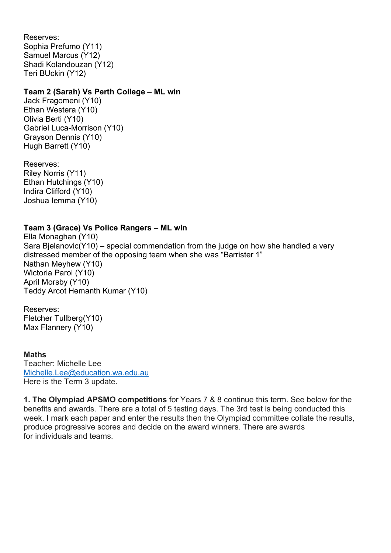Reserves: Sophia Prefumo (Y11) Samuel Marcus (Y12) Shadi Kolandouzan (Y12) Teri BUckin (Y12)

#### **Team 2 (Sarah) Vs Perth College – ML win**

Jack Fragomeni (Y10) Ethan Westera (Y10) Olivia Berti (Y10) Gabriel Luca-Morrison (Y10) Grayson Dennis (Y10) Hugh Barrett (Y10)

Reserves: Riley Norris (Y11) Ethan Hutchings (Y10) Indira Clifford (Y10) Joshua Iemma (Y10)

#### **Team 3 (Grace) Vs Police Rangers – ML win**

Ella Monaghan (Y10) Sara Bjelanovic(Y10) – special commendation from the judge on how she handled a very distressed member of the opposing team when she was "Barrister 1" Nathan Meyhew (Y10) Wictoria Parol (Y10) April Morsby (Y10) Teddy Arcot Hemanth Kumar (Y10)

Reserves: Fletcher Tullberg(Y10) Max Flannery (Y10)

**Maths**  Teacher: Michelle Lee Michelle.Lee@education.wa.edu.au Here is the Term 3 update.

**1. The Olympiad APSMO competitions** for Years 7 & 8 continue this term. See below for the benefits and awards. There are a total of 5 testing days. The 3rd test is being conducted this week. I mark each paper and enter the results then the Olympiad committee collate the results, produce progressive scores and decide on the award winners. There are awards for individuals and teams.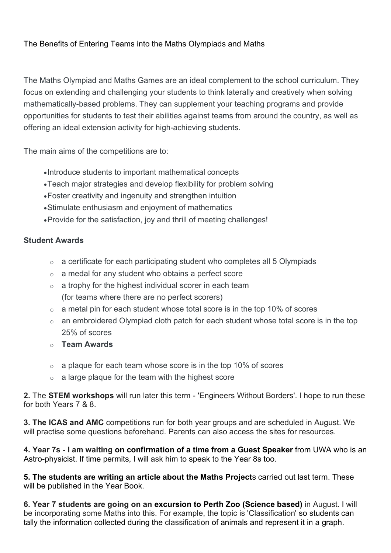#### The Benefits of Entering Teams into the Maths Olympiads and Maths

The Maths Olympiad and Maths Games are an ideal complement to the school curriculum. They focus on extending and challenging your students to think laterally and creatively when solving mathematically-based problems. They can supplement your teaching programs and provide opportunities for students to test their abilities against teams from around the country, as well as offering an ideal extension activity for high-achieving students.

The main aims of the competitions are to:

- •Introduce students to important mathematical concepts
- •Teach major strategies and develop flexibility for problem solving
- •Foster creativity and ingenuity and strengthen intuition
- •Stimulate enthusiasm and enjoyment of mathematics
- •Provide for the satisfaction, joy and thrill of meeting challenges!

#### **Student Awards**

- o a certificate for each participating student who completes all 5 Olympiads
- o a medal for any student who obtains a perfect score
- $\circ$  a trophy for the highest individual scorer in each team (for teams where there are no perfect scorers)
- $\circ$  a metal pin for each student whose total score is in the top 10% of scores
- o an embroidered Olympiad cloth patch for each student whose total score is in the top 25% of scores
- o **Team Awards**
- $\circ$  a plaque for each team whose score is in the top 10% of scores
- $\circ$  a large plaque for the team with the highest score

**2.** The **STEM workshops** will run later this term - 'Engineers Without Borders'. I hope to run these for both Years 7 & 8.

**3. The ICAS and AMC** competitions run for both year groups and are scheduled in August. We will practise some questions beforehand. Parents can also access the sites for resources.

**4. Year 7s - I am waiting on confirmation of a time from a Guest Speaker** from UWA who is an Astro-physicist. If time permits, I will ask him to speak to the Year 8s too.

**5. The students are writing an article about the Maths Project**s carried out last term. These will be published in the Year Book.

**6. Year 7 students are going on an excursion to Perth Zoo (Science based)** in August. I will be incorporating some Maths into this. For example, the topic is 'Classification' so students can tally the information collected during the classification of animals and represent it in a graph.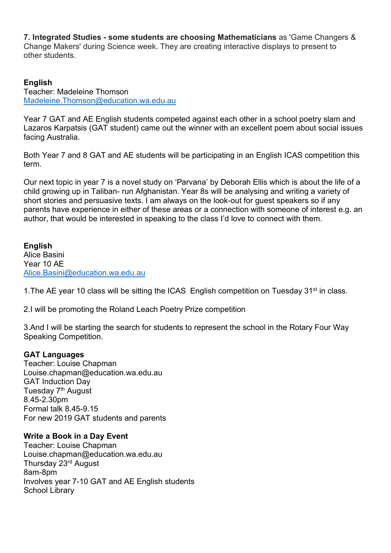**7. Integrated Studies - some students are choosing Mathematicians** as 'Game Changers & Change Makers' during Science week. They are creating interactive displays to present to other students.

#### **English**

Teacher: Madeleine Thomson Madeleine.Thomson@education.wa.edu.au

Year 7 GAT and AE English students competed against each other in a school poetry slam and Lazaros Karpatsis (GAT student) came out the winner with an excellent poem about social issues facing Australia.

Both Year 7 and 8 GAT and AE students will be participating in an English ICAS competition this term.

Our next topic in year 7 is a novel study on 'Parvana' by Deborah Ellis which is about the life of a child growing up in Taliban- run Afghanistan. Year 8s will be analysing and writing a variety of short stories and persuasive texts. I am always on the look-out for guest speakers so if any parents have experience in either of these areas or a connection with someone of interest e.g. an author, that would be interested in speaking to the class I'd love to connect with them.

**English** Alice Basini Year 10 AE Alice.Basini@education.wa.edu.au

1. The AE year 10 class will be sitting the ICAS English competition on Tuesday 31<sup>st</sup> in class.

2.I will be promoting the Roland Leach Poetry Prize competition

3.And I will be starting the search for students to represent the school in the Rotary Four Way Speaking Competition.

#### **GAT Languages**

Teacher: Louise Chapman Louise.chapman@education.wa.edu.au GAT Induction Day Tuesday 7<sup>th</sup> August 8.45-2.30pm Formal talk 8.45-9.15 For new 2019 GAT students and parents

#### **Write a Book in a Day Event**

Teacher: Louise Chapman Louise.chapman@education.wa.edu.au Thursday 23rd August 8am-8pm Involves year 7-10 GAT and AE English students School Library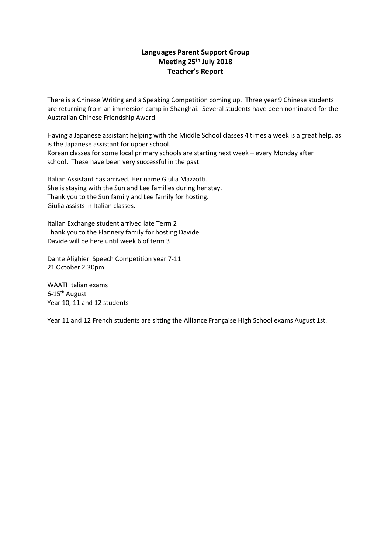#### **Languages Parent Support Group Meeting 25th July 2018 Teacher's Report**

There is a Chinese Writing and a Speaking Competition coming up. Three year 9 Chinese students are returning from an immersion camp in Shanghai. Several students have been nominated for the Australian Chinese Friendship Award.

Having a Japanese assistant helping with the Middle School classes 4 times a week is a great help, as is the Japanese assistant for upper school. Korean classes for some local primary schools are starting next week – every Monday after school. These have been very successful in the past.

Italian Assistant has arrived. Her name Giulia Mazzotti. She is staying with the Sun and Lee families during her stay. Thank you to the Sun family and Lee family for hosting. Giulia assists in Italian classes.

Italian Exchange student arrived late Term 2 Thank you to the Flannery family for hosting Davide. Davide will be here until week 6 of term 3

Dante Alighieri Speech Competition year 7-11 21 October 2.30pm

WAATI Italian exams  $6-15$ <sup>th</sup> August Year 10, 11 and 12 students

Year 11 and 12 French students are sitting the Alliance Française High School exams August 1st.